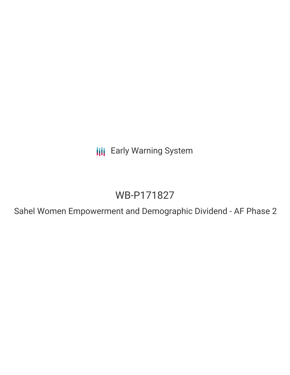**III** Early Warning System

# WB-P171827

Sahel Women Empowerment and Demographic Dividend - AF Phase 2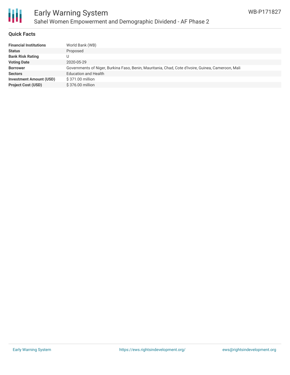

# Early Warning System Sahel Women Empowerment and Demographic Dividend - AF Phase 2

## **Quick Facts**

| World Bank (WB)                                                                                    |
|----------------------------------------------------------------------------------------------------|
| Proposed                                                                                           |
|                                                                                                    |
| 2020-05-29                                                                                         |
| Governments of Niger, Burkina Faso, Benin, Mauritania, Chad, Cote d'Ivoire, Guinea, Cameroon, Mali |
| <b>Education and Health</b>                                                                        |
| \$371.00 million                                                                                   |
| \$376.00 million                                                                                   |
|                                                                                                    |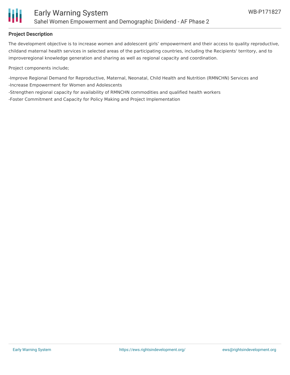

## **Project Description**

The development objective is to increase women and adolescent girls' empowerment and their access to quality reproductive, childand maternal health services in selected areas of the participating countries, including the Recipients' territory, and to improveregional knowledge generation and sharing as well as regional capacity and coordination.

Project components include;

-Improve Regional Demand for Reproductive, Maternal, Neonatal, Child Health and Nutrition (RMNCHN) Services and -Increase Empowerment for Women and Adolescents

-Strengthen regional capacity for availability of RMNCHN commodities and qualified health workers

-Foster Commitment and Capacity for Policy Making and Project Implementation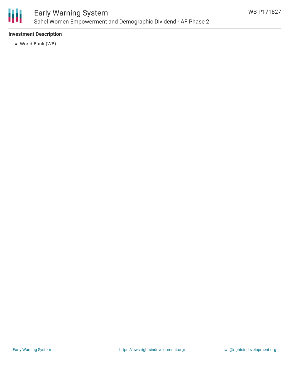

# Early Warning System Sahel Women Empowerment and Demographic Dividend - AF Phase 2

# **Investment Description**

World Bank (WB)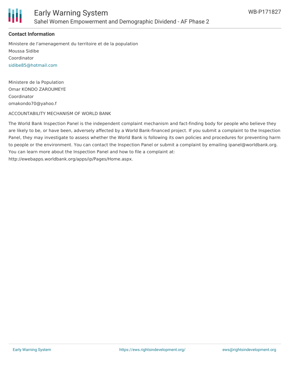

## **Contact Information**

Ministere de l'amenagement du territoire et de la population Moussa Sidibe Coordinator [sidibe85@hotmail.com](mailto:sidibe85@hotmail.com)

Ministere de la Population Omar KONDO ZAROUMEYE Coordinator omakondo70@yahoo.f

#### ACCOUNTABILITY MECHANISM OF WORLD BANK

The World Bank Inspection Panel is the independent complaint mechanism and fact-finding body for people who believe they are likely to be, or have been, adversely affected by a World Bank-financed project. If you submit a complaint to the Inspection Panel, they may investigate to assess whether the World Bank is following its own policies and procedures for preventing harm to people or the environment. You can contact the Inspection Panel or submit a complaint by emailing ipanel@worldbank.org. You can learn more about the Inspection Panel and how to file a complaint at: http://ewebapps.worldbank.org/apps/ip/Pages/Home.aspx.